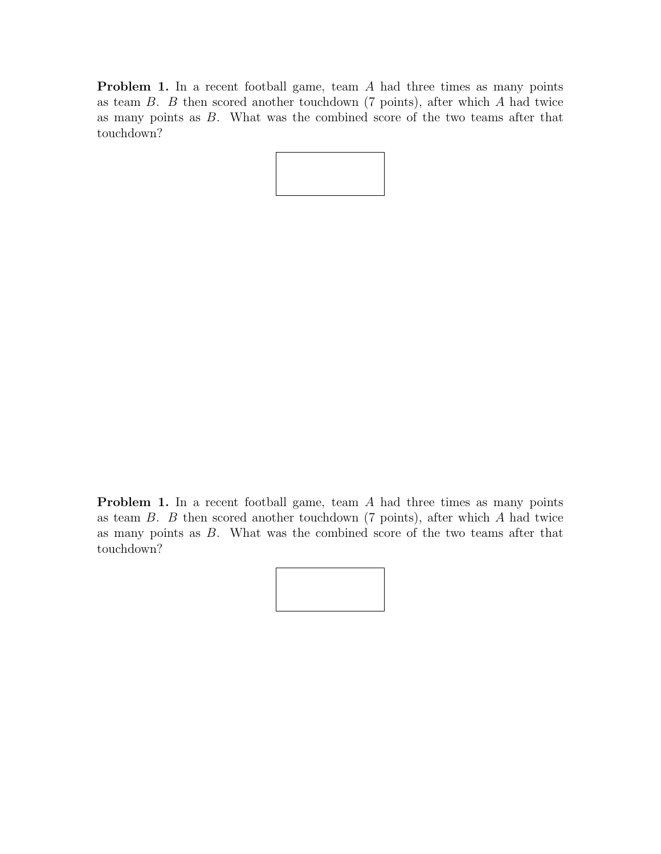Problem 1. In a recent football game, team A had three times as many points as team  $B$ .  $B$  then scored another touchdown (7 points), after which  $A$  had twice as many points as B. What was the combined score of the two teams after that touchdown?

Problem 1. In a recent football game, team A had three times as many points as team  $B$ .  $B$  then scored another touchdown (7 points), after which  $A$  had twice as many points as B. What was the combined score of the two teams after that touchdown?

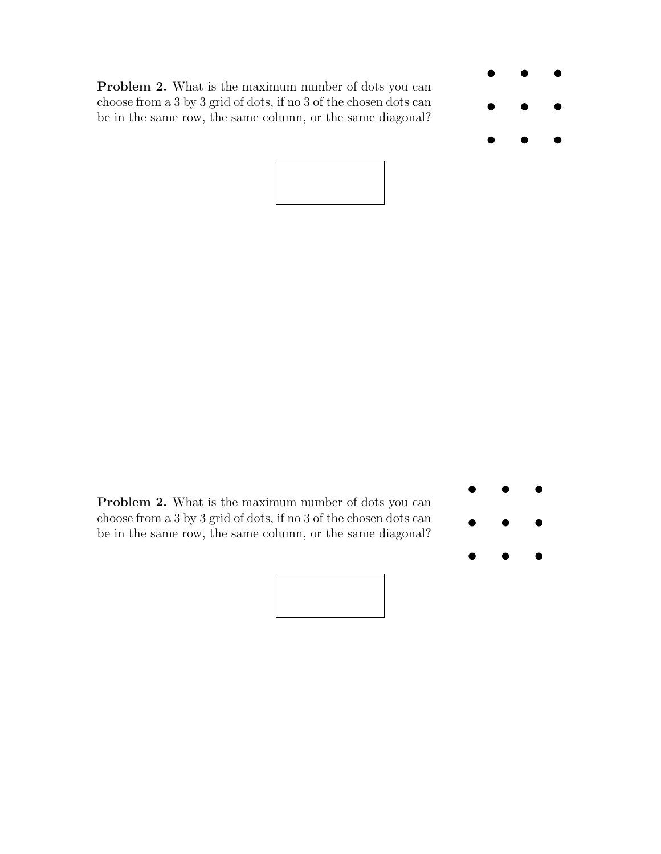Problem 2. What is the maximum number of dots you can choose from a 3 by 3 grid of dots, if no 3 of the chosen dots can be in the same row, the same column, or the same diagonal?







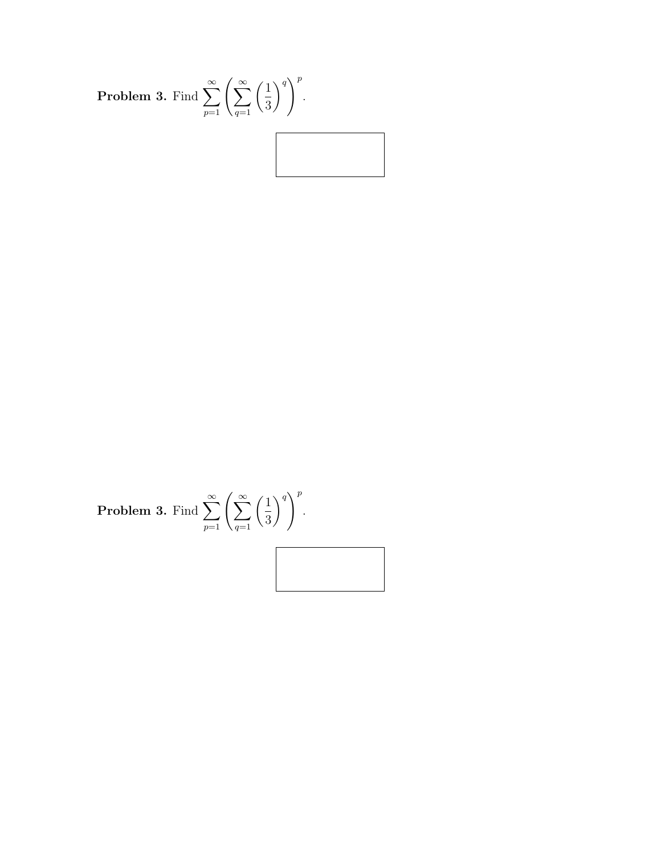

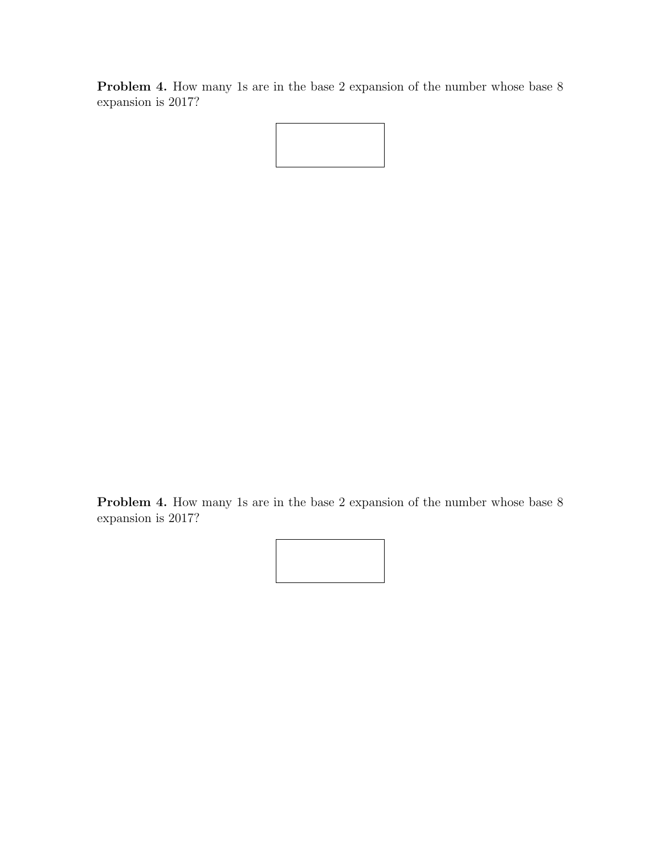Problem 4. How many 1s are in the base 2 expansion of the number whose base 8 expansion is 2017?

Problem 4. How many 1s are in the base 2 expansion of the number whose base 8 expansion is 2017?

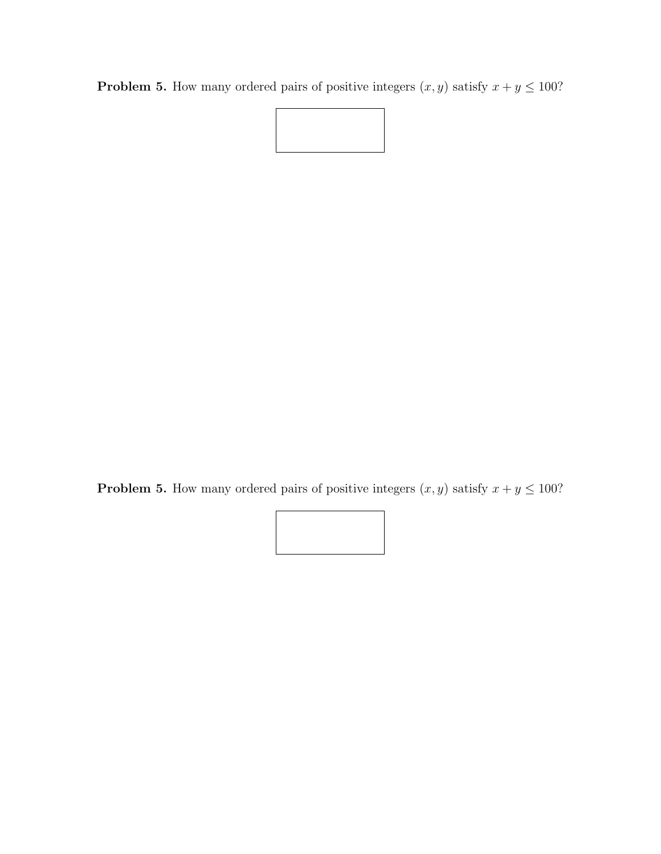**Problem 5.** How many ordered pairs of positive integers  $(x, y)$  satisfy  $x + y \le 100$ ?



**Problem 5.** How many ordered pairs of positive integers  $(x, y)$  satisfy  $x + y \le 100$ ?

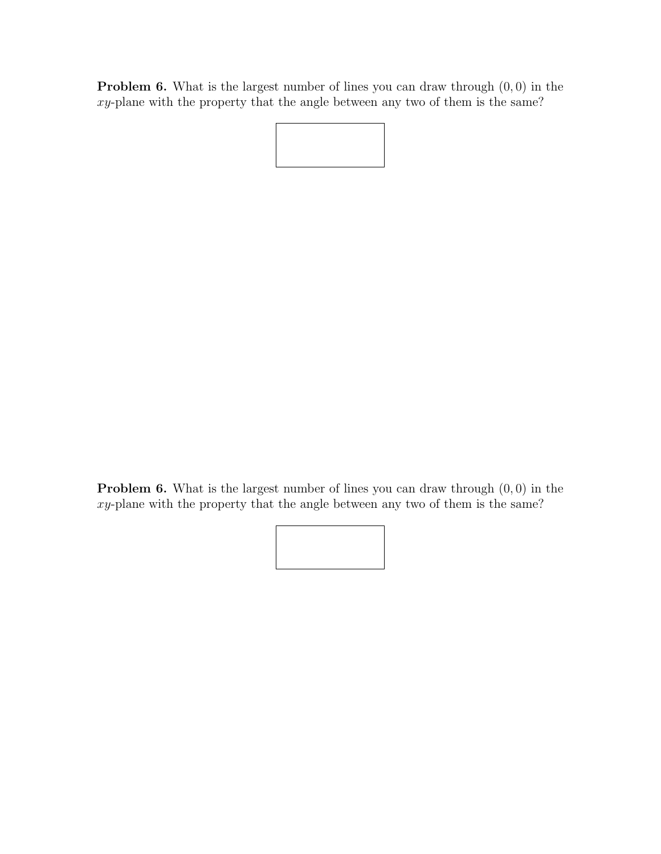**Problem 6.** What is the largest number of lines you can draw through  $(0, 0)$  in the xy-plane with the property that the angle between any two of them is the same?

**Problem 6.** What is the largest number of lines you can draw through  $(0, 0)$  in the xy-plane with the property that the angle between any two of them is the same?

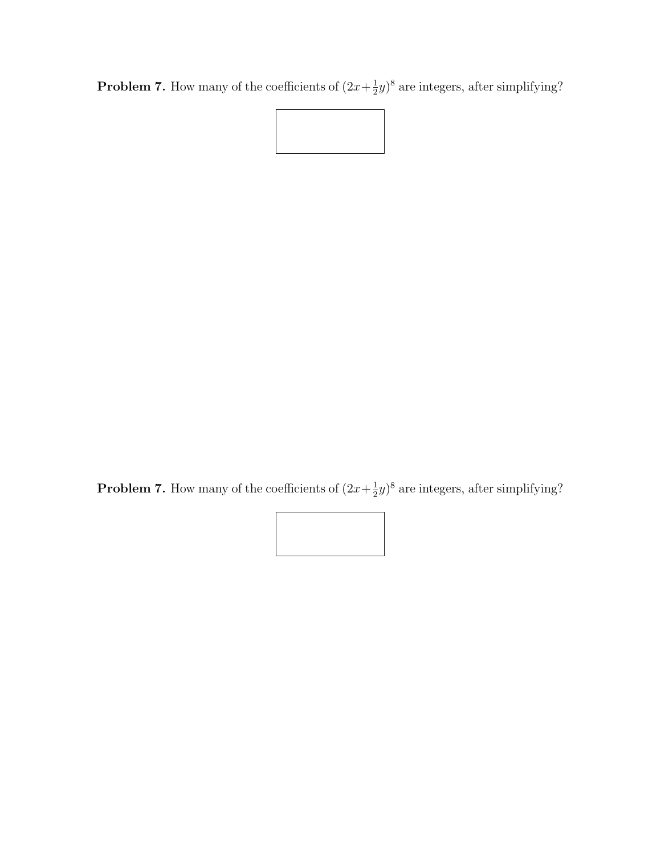**Problem 7.** How many of the coefficients of  $(2x + \frac{1}{2})$  $(\frac{1}{2}y)^8$  are integers, after simplifying?



**Problem 7.** How many of the coefficients of  $(2x+\frac{1}{2})$  $(\frac{1}{2}y)^8$  are integers, after simplifying?

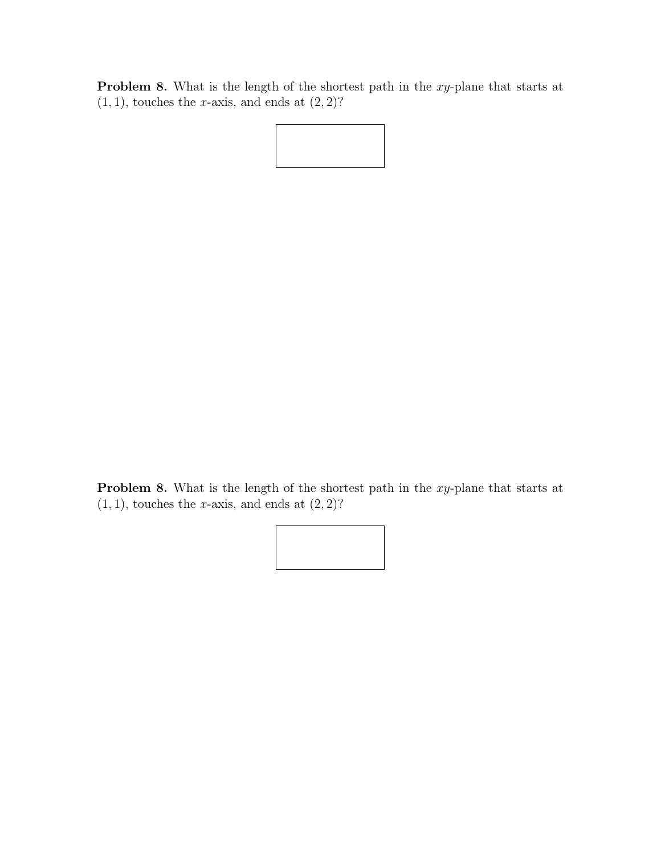Problem 8. What is the length of the shortest path in the xy-plane that starts at  $(1, 1)$ , touches the *x*-axis, and ends at  $(2, 2)$ ?

Problem 8. What is the length of the shortest path in the xy-plane that starts at  $(1, 1)$ , touches the x-axis, and ends at  $(2, 2)$ ?

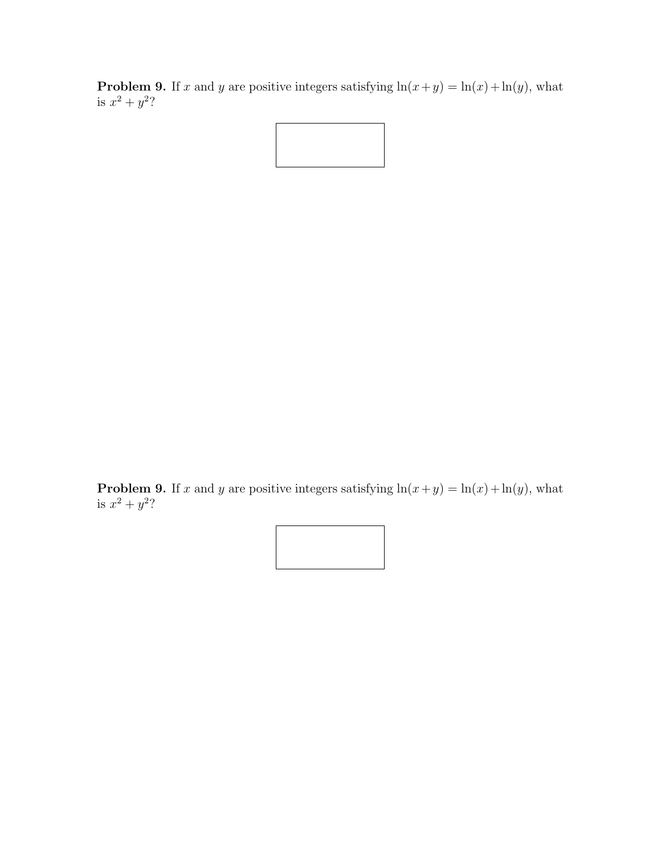**Problem 9.** If x and y are positive integers satisfying  $\ln(x+y) = \ln(x) + \ln(y)$ , what is  $x^2 + y^2$ ?

**Problem 9.** If x and y are positive integers satisfying  $\ln(x+y) = \ln(x) + \ln(y)$ , what is  $x^2 + y^2$ ?